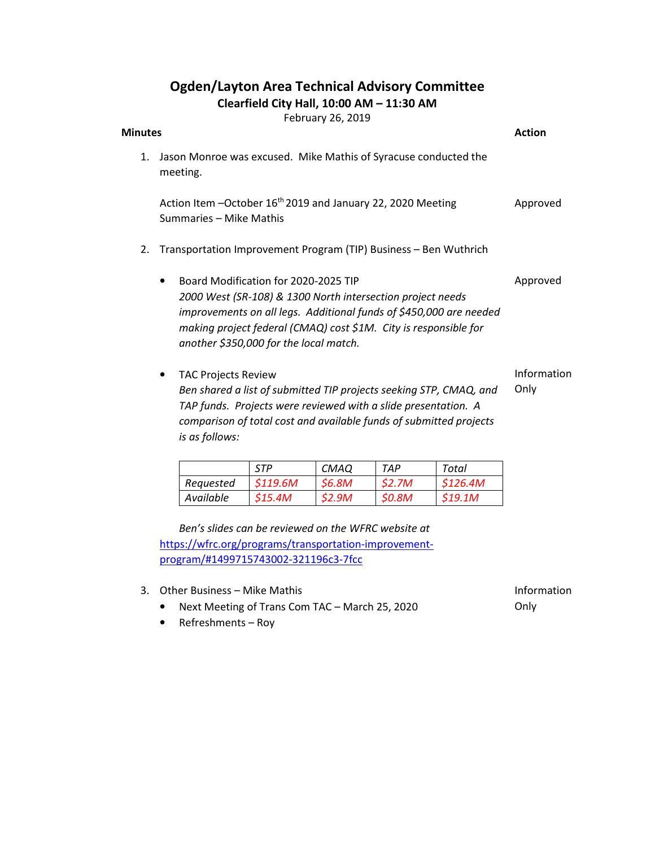## Ogden/Layton Area Technical Advisory Committee

Clearfield City Hall, 10:00 AM – 11:30 AM

February 26, 2019

| $1 - 20 - 90 + 7 = 0$                                                                                                                                                                                                                                                                  | <b>Action</b>       |
|----------------------------------------------------------------------------------------------------------------------------------------------------------------------------------------------------------------------------------------------------------------------------------------|---------------------|
| Jason Monroe was excused. Mike Mathis of Syracuse conducted the<br>meeting.                                                                                                                                                                                                            |                     |
| Action Item -October 16 <sup>th</sup> 2019 and January 22, 2020 Meeting<br>Summaries - Mike Mathis                                                                                                                                                                                     | Approved            |
| Transportation Improvement Program (TIP) Business - Ben Wuthrich                                                                                                                                                                                                                       |                     |
| Board Modification for 2020-2025 TIP<br>2000 West (SR-108) & 1300 North intersection project needs<br>improvements on all legs. Additional funds of \$450,000 are needed<br>making project federal (CMAQ) cost \$1M. City is responsible for<br>another \$350,000 for the local match. | Approved            |
| <b>TAC Projects Review</b><br>Ben shared a list of submitted TIP projects seeking STP, CMAQ, and<br>TAP funds. Projects were reviewed with a slide presentation. A<br>comparison of total cost and available funds of submitted projects<br>is as follows:                             | Information<br>Only |
|                                                                                                                                                                                                                                                                                        | <b>Minutes</b>      |

|           | <b>STP</b> | <b>CMAQ</b>         | TAP   | Total   |
|-----------|------------|---------------------|-------|---------|
| Requested | S119.6M    | <i><b>S6.8M</b></i> | S2.7M | S126.4M |
| Available | S15.4M     | <b>S2.9M</b>        | S0.8M | S19.1M  |

Ben's slides can be reviewed on the WFRC website at https://wfrc.org/programs/transportation-improvementprogram/#1499715743002-321196c3-7fcc

- 3. Other Business Mike Mathis
	- Next Meeting of Trans Com TAC March 25, 2020
	- Refreshments Roy

Information Only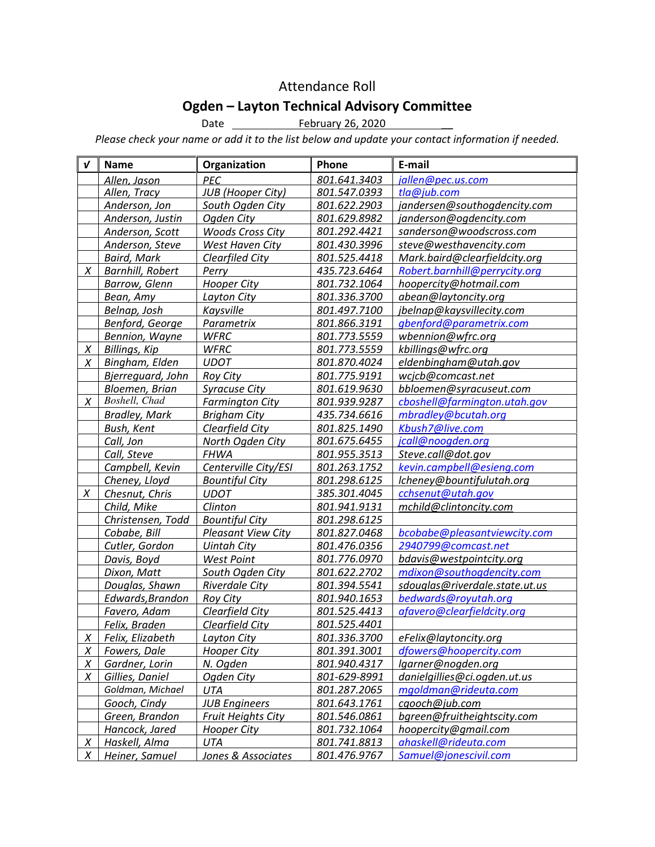## Attendance Roll

## Ogden – Layton Technical Advisory Committee

Date **February 26, 2020** 

Please check your name or add it to the list below and update your contact information if needed.

| $\boldsymbol{v}$ | <b>Name</b>             | Organization              | Phone        | E-mail                         |
|------------------|-------------------------|---------------------------|--------------|--------------------------------|
|                  | Allen, Jason            | PEC                       | 801.641.3403 | iallen@pec.us.com              |
|                  | Allen, Tracy            | <b>JUB</b> (Hooper City)  | 801.547.0393 | tla@jub.com                    |
|                  | Anderson, Jon           | South Ogden City          | 801.622.2903 | jandersen@southogdencity.com   |
|                  | Anderson, Justin        | Ogden City                | 801.629.8982 | janderson@ogdencity.com        |
|                  | Anderson, Scott         | <b>Woods Cross City</b>   | 801.292.4421 | sanderson@woodscross.com       |
|                  | Anderson, Steve         | West Haven City           | 801.430.3996 | steve@westhavencity.com        |
|                  | <b>Baird, Mark</b>      | Clearfiled City           | 801.525.4418 | Mark.baird@clearfieldcity.org  |
| X                | <b>Barnhill, Robert</b> | Perry                     | 435.723.6464 | Robert.barnhill@perrycity.org  |
|                  | Barrow, Glenn           | <b>Hooper City</b>        | 801.732.1064 | hoopercity@hotmail.com         |
|                  | Bean, Amy               | Layton City               | 801.336.3700 | abean@laytoncity.org           |
|                  | Belnap, Josh            | Kaysville                 | 801.497.7100 | jbelnap@kaysvillecity.com      |
|                  | Benford, George         | Parametrix                | 801.866.3191 | gbenford@parametrix.com        |
|                  | Bennion, Wayne          | <b>WFRC</b>               | 801.773.5559 | wbennion@wfrc.org              |
| $\chi$           | <b>Billings, Kip</b>    | <b>WFRC</b>               | 801.773.5559 | kbillings@wfrc.org             |
| X                | Bingham, Elden          | <b>UDOT</b>               | 801.870.4024 | eldenbingham@utah.gov          |
|                  | Bjerrequard, John       | <b>Roy City</b>           | 801.775.9191 | wcjcb@comcast.net              |
|                  | Bloemen, Brian          | Syracuse City             | 801.619.9630 | bbloemen@syracuseut.com        |
| X                | Boshell, Chad           | <b>Farmington City</b>    | 801.939.9287 | cboshell@farmington.utah.gov   |
|                  | <b>Bradley, Mark</b>    | <b>Brigham City</b>       | 435.734.6616 | mbradley@bcutah.org            |
|                  | Bush, Kent              | Clearfield City           | 801.825.1490 | Kbush7@live.com                |
|                  | Call, Jon               | North Ogden City          | 801.675.6455 | jcall@noogden.org              |
|                  | Call, Steve             | <b>FHWA</b>               | 801.955.3513 | Steve.call@dot.gov             |
|                  | Campbell, Kevin         | Centerville City/ESI      | 801.263.1752 | kevin.campbell@esieng.com      |
|                  | Cheney, Lloyd           | <b>Bountiful City</b>     | 801.298.6125 | lcheney@bountifulutah.org      |
| X                | Chesnut, Chris          | <b>UDOT</b>               | 385.301.4045 | cchsenut@utah.gov              |
|                  | Child, Mike             | Clinton                   | 801.941.9131 | mchild@clintoncity.com         |
|                  | Christensen, Todd       | <b>Bountiful City</b>     | 801.298.6125 |                                |
|                  | Cobabe, Bill            | <b>Pleasant View City</b> | 801.827.0468 | bcobabe@pleasantviewcity.com   |
|                  | Cutler, Gordon          | <b>Uintah City</b>        | 801.476.0356 | 2940799@comcast.net            |
|                  | Davis, Boyd             | <b>West Point</b>         | 801.776.0970 | bdavis@westpointcity.org       |
|                  | Dixon, Matt             | South Ogden City          | 801.622.2702 | mdixon@southogdencity.com      |
|                  | Douglas, Shawn          | <b>Riverdale City</b>     | 801.394.5541 | sdouglas@riverdale.state.ut.us |
|                  | Edwards, Brandon        | <b>Roy City</b>           | 801.940.1653 | bedwards@royutah.org           |
|                  | Favero, Adam            | Clearfield City           | 801.525.4413 | afavero@clearfieldcity.org     |
|                  | Felix, Braden           | Clearfield City           | 801.525.4401 |                                |
| $\overline{X}$   | Felix, Elizabeth        | <b>Layton City</b>        | 801.336.3700 | eFelix@laytoncity.org          |
| X                | Fowers, Dale            | <b>Hooper City</b>        | 801.391.3001 | dfowers@hoopercity.com         |
| $\chi$           | Gardner, Lorin          | N. Ogden                  | 801.940.4317 | lgarner@nogden.org             |
| Χ                | Gillies, Daniel         | Ogden City                | 801-629-8991 | danielgillies@ci.ogden.ut.us   |
|                  | Goldman, Michael        | UTA                       | 801.287.2065 | mgoldman@rideuta.com           |
|                  | Gooch, Cindy            | <b>JUB Engineers</b>      | 801.643.1761 | cgooch@jub.com                 |
|                  | Green, Brandon          | <b>Fruit Heights City</b> | 801.546.0861 | bgreen@fruitheightscity.com    |
|                  | Hancock, Jared          | Hooper City               | 801.732.1064 | hoopercity@gmail.com           |
| X                | Haskell, Alma           | <b>UTA</b>                | 801.741.8813 | ahaskell@rideuta.com           |
| Χ                | Heiner, Samuel          | Jones & Associates        | 801.476.9767 | Samuel@jonescivil.com          |